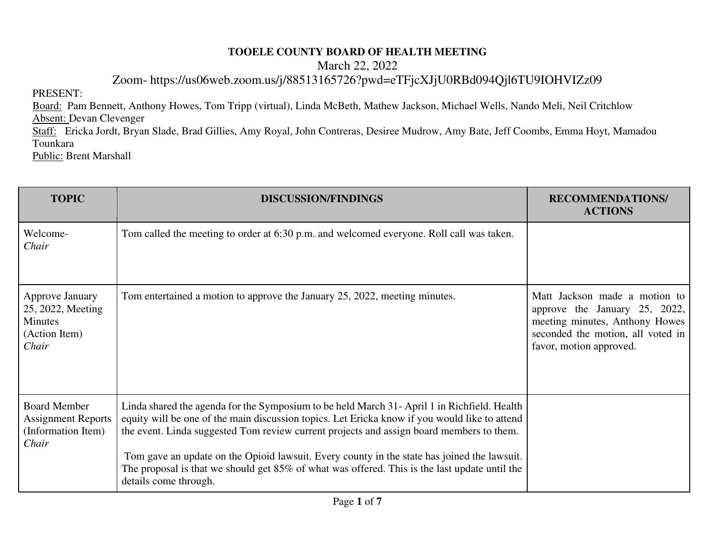## **TOOELE COUNTY BOARD OF HEALTH MEETING**

March 22, 2022

Zoom- https://us06web.zoom.us/j/88513165726?pwd=eTFjcXJjU0RBd094Qjl6TU9IOHVIZz09

PRESENT:

Board: Pam Bennett, Anthony Howes, Tom Tripp (virtual), Linda McBeth, Mathew Jackson, Michael Wells, Nando Meli, Neil Critchlow Absent: Devan Clevenger

Staff: Ericka Jordt, Bryan Slade, Brad Gillies, Amy Royal, John Contreras, Desiree Mudrow, Amy Bate, Jeff Coombs, Emma Hoyt, Mamadou Tounkara

Public: Brent Marshall

| <b>TOPIC</b>                                                                            | <b>DISCUSSION/FINDINGS</b>                                                                                                                                                                                                                                                                                                                                                                                                                                                                                        | <b>RECOMMENDATIONS/</b><br><b>ACTIONS</b>                                                                                                                        |
|-----------------------------------------------------------------------------------------|-------------------------------------------------------------------------------------------------------------------------------------------------------------------------------------------------------------------------------------------------------------------------------------------------------------------------------------------------------------------------------------------------------------------------------------------------------------------------------------------------------------------|------------------------------------------------------------------------------------------------------------------------------------------------------------------|
| Welcome-<br>Chair                                                                       | Tom called the meeting to order at 6:30 p.m. and welcomed everyone. Roll call was taken.                                                                                                                                                                                                                                                                                                                                                                                                                          |                                                                                                                                                                  |
| <b>Approve January</b><br>25, 2022, Meeting<br><b>Minutes</b><br>(Action Item)<br>Chair | Tom entertained a motion to approve the January 25, 2022, meeting minutes.                                                                                                                                                                                                                                                                                                                                                                                                                                        | Matt Jackson made a motion to<br>approve the January 25, 2022,<br>meeting minutes, Anthony Howes<br>seconded the motion, all voted in<br>favor, motion approved. |
| <b>Board Member</b><br><b>Assignment Reports</b><br>(Information Item)<br>Chair         | Linda shared the agenda for the Symposium to be held March 31- April 1 in Richfield. Health<br>equity will be one of the main discussion topics. Let Ericka know if you would like to attend<br>the event. Linda suggested Tom review current projects and assign board members to them.<br>Tom gave an update on the Opioid lawsuit. Every county in the state has joined the lawsuit.<br>The proposal is that we should get 85% of what was offered. This is the last update until the<br>details come through. |                                                                                                                                                                  |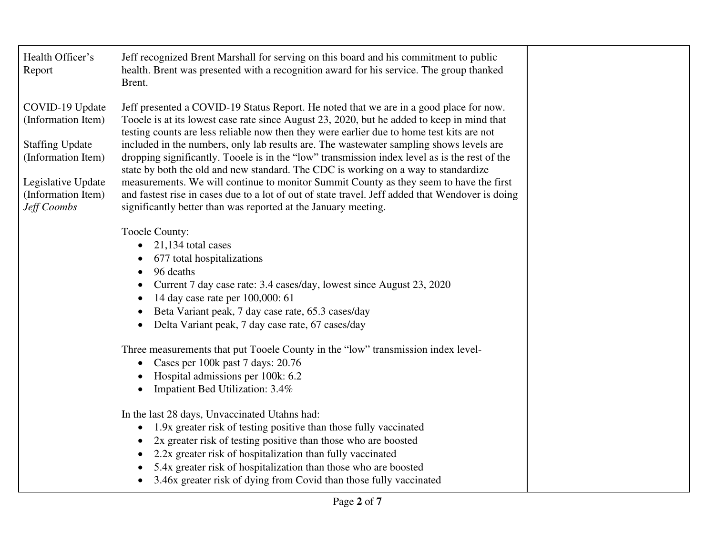| Health Officer's<br>Report                                                                                                                       | Jeff recognized Brent Marshall for serving on this board and his commitment to public<br>health. Brent was presented with a recognition award for his service. The group thanked<br>Brent.                                                                                                                                                                                                                                                                                                                                                                                                                                                                                                                                                                                                                                          |  |
|--------------------------------------------------------------------------------------------------------------------------------------------------|-------------------------------------------------------------------------------------------------------------------------------------------------------------------------------------------------------------------------------------------------------------------------------------------------------------------------------------------------------------------------------------------------------------------------------------------------------------------------------------------------------------------------------------------------------------------------------------------------------------------------------------------------------------------------------------------------------------------------------------------------------------------------------------------------------------------------------------|--|
| COVID-19 Update<br>(Information Item)<br><b>Staffing Update</b><br>(Information Item)<br>Legislative Update<br>(Information Item)<br>Jeff Coombs | Jeff presented a COVID-19 Status Report. He noted that we are in a good place for now.<br>Tooele is at its lowest case rate since August 23, 2020, but he added to keep in mind that<br>testing counts are less reliable now then they were earlier due to home test kits are not<br>included in the numbers, only lab results are. The wastewater sampling shows levels are<br>dropping significantly. Tooele is in the "low" transmission index level as is the rest of the<br>state by both the old and new standard. The CDC is working on a way to standardize<br>measurements. We will continue to monitor Summit County as they seem to have the first<br>and fastest rise in cases due to a lot of out of state travel. Jeff added that Wendover is doing<br>significantly better than was reported at the January meeting. |  |
|                                                                                                                                                  | Tooele County:<br>$21,134$ total cases<br>$\bullet$<br>677 total hospitalizations<br>96 deaths<br>Current 7 day case rate: 3.4 cases/day, lowest since August 23, 2020<br>14 day case rate per 100,000: 61<br>Beta Variant peak, 7 day case rate, 65.3 cases/day<br>Delta Variant peak, 7 day case rate, 67 cases/day                                                                                                                                                                                                                                                                                                                                                                                                                                                                                                               |  |
|                                                                                                                                                  | Three measurements that put Tooele County in the "low" transmission index level-<br>Cases per 100k past 7 days: 20.76<br>$\bullet$<br>Hospital admissions per 100k: 6.2<br>Impatient Bed Utilization: 3.4%                                                                                                                                                                                                                                                                                                                                                                                                                                                                                                                                                                                                                          |  |
|                                                                                                                                                  | In the last 28 days, Unvaccinated Utahns had:<br>1.9x greater risk of testing positive than those fully vaccinated<br>2x greater risk of testing positive than those who are boosted<br>2.2x greater risk of hospitalization than fully vaccinated<br>5.4x greater risk of hospitalization than those who are boosted<br>3.46x greater risk of dying from Covid than those fully vaccinated                                                                                                                                                                                                                                                                                                                                                                                                                                         |  |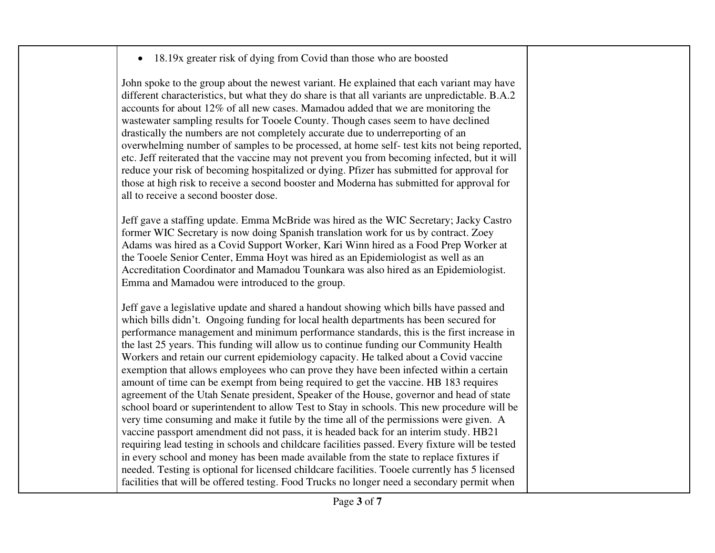## • 18.19x greater risk of dying from Covid than those who are boosted

John spoke to the group about the newest variant. He explained that each variant may have different characteristics, but what they do share is that all variants are unpredictable. B.A.2 accounts for about 12% of all new cases. Mamadou added that we are monitoring the wastewater sampling results for Tooele County. Though cases seem to have declined drastically the numbers are not completely accurate due to underreporting of an overwhelming number of samples to be processed, at home self- test kits not being reported, etc. Jeff reiterated that the vaccine may not prevent you from becoming infected, but it will reduce your risk of becoming hospitalized or dying. Pfizer has submitted for approval for those at high risk to receive a second booster and Moderna has submitted for approval for all to receive a second booster dose.

Jeff gave a staffing update. Emma McBride was hired as the WIC Secretary; Jacky Castro former WIC Secretary is now doing Spanish translation work for us by contract. Zoey Adams was hired as a Covid Support Worker, Kari Winn hired as a Food Prep Worker at the Tooele Senior Center, Emma Hoyt was hired as an Epidemiologist as well as an Accreditation Coordinator and Mamadou Tounkara was also hired as an Epidemiologist. Emma and Mamadou were introduced to the group.

Jeff gave a legislative update and shared a handout showing which bills have passed and which bills didn't. Ongoing funding for local health departments has been secured for performance management and minimum performance standards, this is the first increase in the last 25 years. This funding will allow us to continue funding our Community Health Workers and retain our current epidemiology capacity. He talked about a Covid vaccine exemption that allows employees who can prove they have been infected within a certain amount of time can be exempt from being required to get the vaccine. HB 183 requires agreement of the Utah Senate president, Speaker of the House, governor and head of state school board or superintendent to allow Test to Stay in schools. This new procedure will be very time consuming and make it futile by the time all of the permissions were given. A vaccine passport amendment did not pass, it is headed back for an interim study. HB21 requiring lead testing in schools and childcare facilities passed. Every fixture will be tested in every school and money has been made available from the state to replace fixtures if needed. Testing is optional for licensed childcare facilities. Tooele currently has 5 licensed facilities that will be offered testing. Food Trucks no longer need a secondary permit when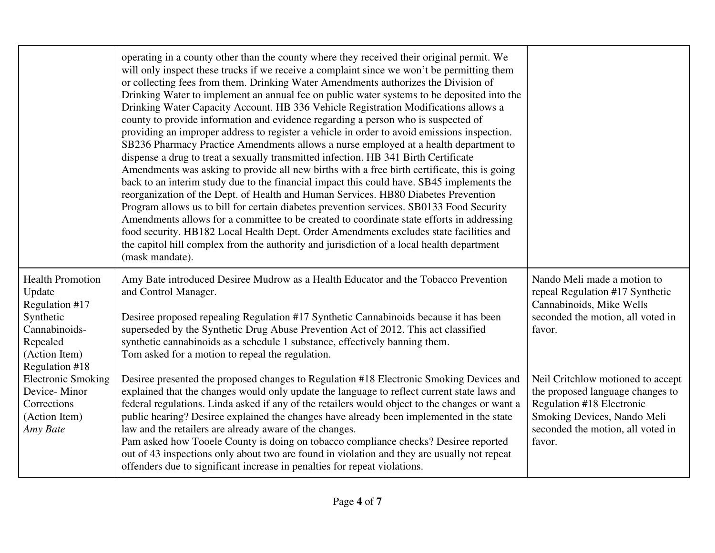|                                                                                                                                  | operating in a county other than the county where they received their original permit. We<br>will only inspect these trucks if we receive a complaint since we won't be permitting them<br>or collecting fees from them. Drinking Water Amendments authorizes the Division of<br>Drinking Water to implement an annual fee on public water systems to be deposited into the<br>Drinking Water Capacity Account. HB 336 Vehicle Registration Modifications allows a<br>county to provide information and evidence regarding a person who is suspected of<br>providing an improper address to register a vehicle in order to avoid emissions inspection.<br>SB236 Pharmacy Practice Amendments allows a nurse employed at a health department to<br>dispense a drug to treat a sexually transmitted infection. HB 341 Birth Certificate<br>Amendments was asking to provide all new births with a free birth certificate, this is going<br>back to an interim study due to the financial impact this could have. SB45 implements the<br>reorganization of the Dept. of Health and Human Services. HB80 Diabetes Prevention<br>Program allows us to bill for certain diabetes prevention services. SB0133 Food Security<br>Amendments allows for a committee to be created to coordinate state efforts in addressing<br>food security. HB182 Local Health Dept. Order Amendments excludes state facilities and<br>the capitol hill complex from the authority and jurisdiction of a local health department<br>(mask mandate). |                                                                                                                                                                                         |
|----------------------------------------------------------------------------------------------------------------------------------|-----------------------------------------------------------------------------------------------------------------------------------------------------------------------------------------------------------------------------------------------------------------------------------------------------------------------------------------------------------------------------------------------------------------------------------------------------------------------------------------------------------------------------------------------------------------------------------------------------------------------------------------------------------------------------------------------------------------------------------------------------------------------------------------------------------------------------------------------------------------------------------------------------------------------------------------------------------------------------------------------------------------------------------------------------------------------------------------------------------------------------------------------------------------------------------------------------------------------------------------------------------------------------------------------------------------------------------------------------------------------------------------------------------------------------------------------------------------------------------------------------------------------------|-----------------------------------------------------------------------------------------------------------------------------------------------------------------------------------------|
| <b>Health Promotion</b><br>Update<br>Regulation #17<br>Synthetic<br>Cannabinoids-<br>Repealed<br>(Action Item)<br>Regulation #18 | Amy Bate introduced Desiree Mudrow as a Health Educator and the Tobacco Prevention<br>and Control Manager.<br>Desiree proposed repealing Regulation #17 Synthetic Cannabinoids because it has been<br>superseded by the Synthetic Drug Abuse Prevention Act of 2012. This act classified<br>synthetic cannabinoids as a schedule 1 substance, effectively banning them.<br>Tom asked for a motion to repeal the regulation.                                                                                                                                                                                                                                                                                                                                                                                                                                                                                                                                                                                                                                                                                                                                                                                                                                                                                                                                                                                                                                                                                                 | Nando Meli made a motion to<br>repeal Regulation #17 Synthetic<br>Cannabinoids, Mike Wells<br>seconded the motion, all voted in<br>favor.                                               |
| <b>Electronic Smoking</b><br>Device-Minor<br>Corrections<br>(Action Item)<br>Amy Bate                                            | Desiree presented the proposed changes to Regulation #18 Electronic Smoking Devices and<br>explained that the changes would only update the language to reflect current state laws and<br>federal regulations. Linda asked if any of the retailers would object to the changes or want a<br>public hearing? Desiree explained the changes have already been implemented in the state<br>law and the retailers are already aware of the changes.<br>Pam asked how Tooele County is doing on tobacco compliance checks? Desiree reported<br>out of 43 inspections only about two are found in violation and they are usually not repeat<br>offenders due to significant increase in penalties for repeat violations.                                                                                                                                                                                                                                                                                                                                                                                                                                                                                                                                                                                                                                                                                                                                                                                                          | Neil Critchlow motioned to accept<br>the proposed language changes to<br><b>Regulation #18 Electronic</b><br>Smoking Devices, Nando Meli<br>seconded the motion, all voted in<br>favor. |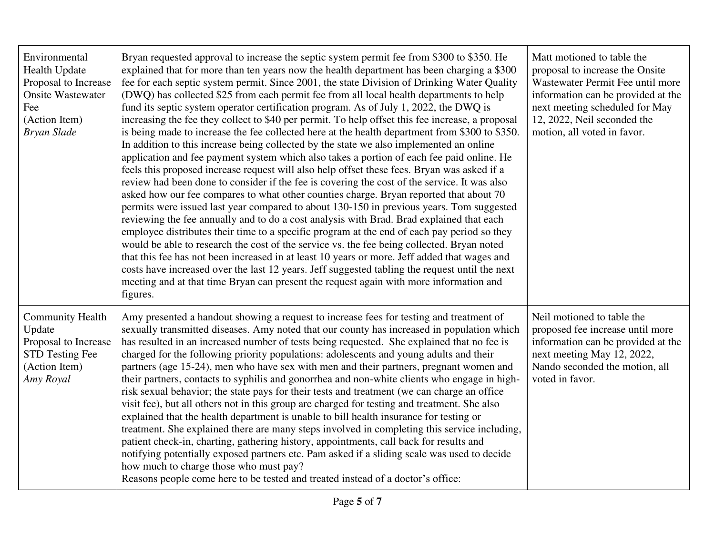| Environmental<br>Health Update<br>Proposal to Increase<br><b>Onsite Wastewater</b><br>Fee<br>(Action Item)<br><b>Bryan Slade</b> | Bryan requested approval to increase the septic system permit fee from \$300 to \$350. He<br>explained that for more than ten years now the health department has been charging a \$300<br>fee for each septic system permit. Since 2001, the state Division of Drinking Water Quality<br>(DWQ) has collected \$25 from each permit fee from all local health departments to help<br>fund its septic system operator certification program. As of July 1, 2022, the DWQ is<br>increasing the fee they collect to \$40 per permit. To help offset this fee increase, a proposal<br>is being made to increase the fee collected here at the health department from \$300 to \$350.<br>In addition to this increase being collected by the state we also implemented an online<br>application and fee payment system which also takes a portion of each fee paid online. He<br>feels this proposed increase request will also help offset these fees. Bryan was asked if a<br>review had been done to consider if the fee is covering the cost of the service. It was also<br>asked how our fee compares to what other counties charge. Bryan reported that about 70<br>permits were issued last year compared to about 130-150 in previous years. Tom suggested<br>reviewing the fee annually and to do a cost analysis with Brad. Brad explained that each<br>employee distributes their time to a specific program at the end of each pay period so they<br>would be able to research the cost of the service vs. the fee being collected. Bryan noted<br>that this fee has not been increased in at least 10 years or more. Jeff added that wages and<br>costs have increased over the last 12 years. Jeff suggested tabling the request until the next<br>meeting and at that time Bryan can present the request again with more information and<br>figures. | Matt motioned to table the<br>proposal to increase the Onsite<br>Wastewater Permit Fee until more<br>information can be provided at the<br>next meeting scheduled for May<br>12, 2022, Neil seconded the<br>motion, all voted in favor. |
|----------------------------------------------------------------------------------------------------------------------------------|----------------------------------------------------------------------------------------------------------------------------------------------------------------------------------------------------------------------------------------------------------------------------------------------------------------------------------------------------------------------------------------------------------------------------------------------------------------------------------------------------------------------------------------------------------------------------------------------------------------------------------------------------------------------------------------------------------------------------------------------------------------------------------------------------------------------------------------------------------------------------------------------------------------------------------------------------------------------------------------------------------------------------------------------------------------------------------------------------------------------------------------------------------------------------------------------------------------------------------------------------------------------------------------------------------------------------------------------------------------------------------------------------------------------------------------------------------------------------------------------------------------------------------------------------------------------------------------------------------------------------------------------------------------------------------------------------------------------------------------------------------------------------------------------------------------------------------------------------------------|-----------------------------------------------------------------------------------------------------------------------------------------------------------------------------------------------------------------------------------------|
| <b>Community Health</b><br>Update<br>Proposal to Increase<br>STD Testing Fee<br>(Action Item)<br>Amy Royal                       | Amy presented a handout showing a request to increase fees for testing and treatment of<br>sexually transmitted diseases. Amy noted that our county has increased in population which<br>has resulted in an increased number of tests being requested. She explained that no fee is<br>charged for the following priority populations: adolescents and young adults and their<br>partners (age 15-24), men who have sex with men and their partners, pregnant women and<br>their partners, contacts to syphilis and gonorrhea and non-white clients who engage in high-<br>risk sexual behavior; the state pays for their tests and treatment (we can charge an office<br>visit fee), but all others not in this group are charged for testing and treatment. She also<br>explained that the health department is unable to bill health insurance for testing or<br>treatment. She explained there are many steps involved in completing this service including,<br>patient check-in, charting, gathering history, appointments, call back for results and<br>notifying potentially exposed partners etc. Pam asked if a sliding scale was used to decide<br>how much to charge those who must pay?<br>Reasons people come here to be tested and treated instead of a doctor's office:                                                                                                                                                                                                                                                                                                                                                                                                                                                                                                                                                                         | Neil motioned to table the<br>proposed fee increase until more<br>information can be provided at the<br>next meeting May 12, 2022,<br>Nando seconded the motion, all<br>voted in favor.                                                 |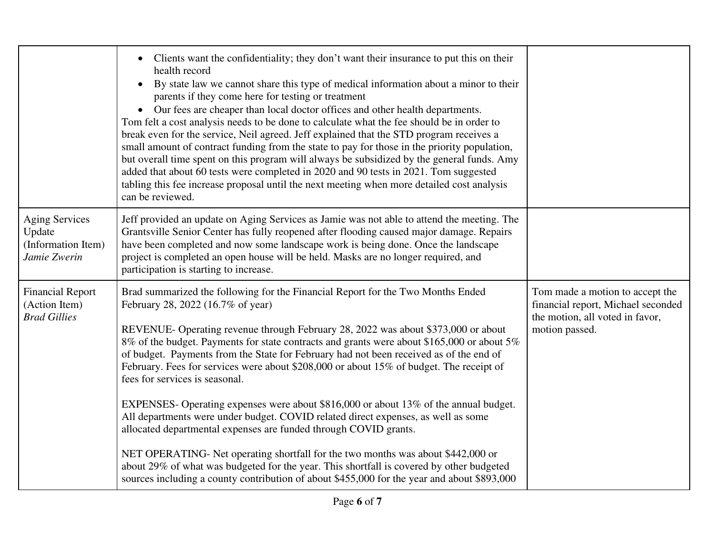|                                                                       | Clients want the confidentiality; they don't want their insurance to put this on their<br>$\bullet$<br>health record<br>By state law we cannot share this type of medical information about a minor to their<br>$\bullet$<br>parents if they come here for testing or treatment<br>Our fees are cheaper than local doctor offices and other health departments.<br>Tom felt a cost analysis needs to be done to calculate what the fee should be in order to<br>break even for the service, Neil agreed. Jeff explained that the STD program receives a<br>small amount of contract funding from the state to pay for those in the priority population,<br>but overall time spent on this program will always be subsidized by the general funds. Amy<br>added that about 60 tests were completed in 2020 and 90 tests in 2021. Tom suggested<br>tabling this fee increase proposal until the next meeting when more detailed cost analysis<br>can be reviewed.                                                                                                |                                                                                                                            |
|-----------------------------------------------------------------------|----------------------------------------------------------------------------------------------------------------------------------------------------------------------------------------------------------------------------------------------------------------------------------------------------------------------------------------------------------------------------------------------------------------------------------------------------------------------------------------------------------------------------------------------------------------------------------------------------------------------------------------------------------------------------------------------------------------------------------------------------------------------------------------------------------------------------------------------------------------------------------------------------------------------------------------------------------------------------------------------------------------------------------------------------------------|----------------------------------------------------------------------------------------------------------------------------|
| <b>Aging Services</b><br>Update<br>(Information Item)<br>Jamie Zwerin | Jeff provided an update on Aging Services as Jamie was not able to attend the meeting. The<br>Grantsville Senior Center has fully reopened after flooding caused major damage. Repairs<br>have been completed and now some landscape work is being done. Once the landscape<br>project is completed an open house will be held. Masks are no longer required, and<br>participation is starting to increase.                                                                                                                                                                                                                                                                                                                                                                                                                                                                                                                                                                                                                                                    |                                                                                                                            |
| <b>Financial Report</b><br>(Action Item)<br><b>Brad Gillies</b>       | Brad summarized the following for the Financial Report for the Two Months Ended<br>February 28, 2022 (16.7% of year)<br>REVENUE- Operating revenue through February 28, 2022 was about \$373,000 or about<br>8% of the budget. Payments for state contracts and grants were about \$165,000 or about 5%<br>of budget. Payments from the State for February had not been received as of the end of<br>February. Fees for services were about \$208,000 or about 15% of budget. The receipt of<br>fees for services is seasonal.<br>EXPENSES- Operating expenses were about \$816,000 or about 13% of the annual budget.<br>All departments were under budget. COVID related direct expenses, as well as some<br>allocated departmental expenses are funded through COVID grants.<br>NET OPERATING- Net operating shortfall for the two months was about \$442,000 or<br>about 29% of what was budgeted for the year. This shortfall is covered by other budgeted<br>sources including a county contribution of about \$455,000 for the year and about \$893,000 | Tom made a motion to accept the<br>financial report, Michael seconded<br>the motion, all voted in favor,<br>motion passed. |